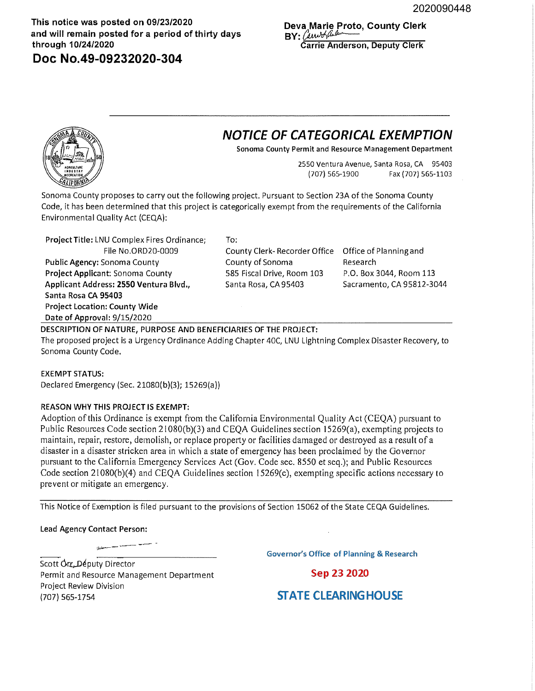**This notice was posted on 09/23/2020 and will remain posted for a period of thirty days through 10/24/2020** 

**Doc No.49-09232020-304** 

**Deva Marie Proto, County Clerk**   $BY: (aniv)$ **Carrie Anderson, Deputy Clerk** 

## **NOTICE OF CATEGORICAL EXEMPTION**

**Sonoma County Permit and Resource Management Department** 

2550 Ventura Avenue, Santa Rosa, CA 95403 (707) 565-1900 Fax (707) 565-1103

Sonoma County proposes to carry out the following project. Pursuant to Section 23A of the Sonoma County Code, it has been determined that this project is categorically exempt from the requirements of the California Environmental Quality Act {CEQA):

Project Title: LNU Complex Fires Ordinance; File No.ORD20-0009 **Public Agency:** Sonoma County Project Applicant: Sonoma County Applicant Address: **2550** Ventura Blvd., **Santa Rosa CA 95403 Project Location: County Wide Date of Approval:** 9/15/2020 To: County Clerk- Recorder Office County of Sonoma 585 Fiscal Drive, Room 103 Santa Rosa, CA 95403 **DESCRIPTION OF NATURE, PURPOSE AND BENEFICIARIES OF THE PROJECT:**  Office of Planningand Research P.O. Box 3044, Room 113 Sacramento, CA 95812-3044

The proposed project is a Urgency Ordinance Adding Chapter 40C, LNU Lightning Complex Disaster Recovery, to Sonoma County Code.

## **EXEMPT STATUS:**

Declared Emergency {Sec. 21080{b){3); 15269{a))

## **REASON WHY THIS PROJECT IS EXEMPT:**

Adoption of this Ordinance is exempt from the California Environmental Quality Act (CEQA) pursuant to Public Resources Code section 21080(6)(3) and CEQA Guidelines section 15269(a), exempting projects to maintain, repair, restore, demolish, or replace property or facilities damaged or destroyed as a result of a disaster in a disaster stricken area in which a state of emergency has been proclaimed by the Governor pursuant to the California Emergency Services Act (Gov. Code sec. 8550 et seq.); and Public Resources Code section 21080(b)(4) and CEQA Guidelines section 15269(c), exempting specific actions necessary to prevent or mitigate an emergency.

This Notice of Exemption is filed pursuant to the provisions of Section 15062 of the State CEQA Guidelines.

**Lead Agency Contact Person:** 

Scott Orr...Députy Director Permit and Resource Management Department Project Review Division {707) 565-1754

**Governor's Office of Planning & Research** 

Sep 23 2020

## **STATE CLEARING HOUSE**